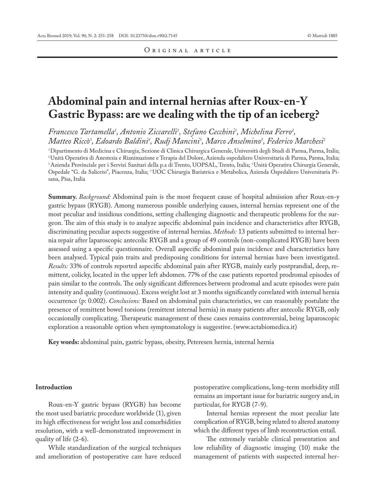# **Abdominal pain and internal hernias after Roux-en-Y Gastric Bypass: are we dealing with the tip of an iceberg?**

*Francesco Tartamella1 , Antonio Ziccarelli1 , Stefano Cecchini1 , Michelina Ferro2 ,*   $\emph{Matteo Riccò}$ ', Edoardo Baldini<sup>4</sup>, Rudj Mancini<sup>5</sup>, Marco Anselmino<sup>5</sup>, Federico Marchesi<sup>1</sup>

1 Dipartimento di Medicina e Chirurgia, Sezione di Clinica Chirurgica Generale, Università degli Studi di Parma, Parma, Italia; 2 Unità Operativa di Anestesia e Rianimazione e Terapia del Dolore, Azienda ospedaliero Universitaria di Parma, Parma, Italia; 3 Azienda Provinciale per i Servizi Sanitari della p.a di Trento, UOPSAL, Trento, Italia; 4 Unità Operativa Chirurgia Generale, Ospedale "G. da Saliceto", Piacenza, Italia; 5 UOC Chirurgia Bariatrica e Metabolica, Azienda Ospedaliero Universitaria Pisana, Pisa, Italia

**Summary.** *Background:* Abdominal pain is the most frequent cause of hospital admission after Roux-en-y gastric bypass (RYGB). Among numerous possible underlying causes, internal hernias represent one of the most peculiar and insidious conditions, setting challenging diagnostic and therapeutic problems for the surgeon. The aim of this study is to analyze aspecific abdominal pain incidence and characteristics after RYGB, discriminating peculiar aspects suggestive of internal hernias. *Methods:* 13 patients submitted to internal hernia repair after laparoscopic antecolic RYGB and a group of 49 controls (non-complicated RYGB) have been assessed using a specific questionnaire. Overall aspecific abdominal pain incidence and characteristics have been analysed. Typical pain traits and predisposing conditions for internal hernias have been investigated. *Results:* 33% of controls reported aspecific abdominal pain after RYGB, mainly early postprandial, deep, remittent, colicky, located in the upper left abdomen. 77% of the case patients reported prodromal episodes of pain similar to the controls. The only significant differences between prodromal and acute episodes were pain intensity and quality (continuous). Excess weight lost at 3 months significantly correlated with internal hernia occurrence (p: 0.002). *Conclusions:* Based on abdominal pain characteristics, we can reasonably postulate the presence of remittent bowel torsions (remittent internal hernia) in many patients after antecolic RYGB, only occasionally complicating. Therapeutic management of these cases remains controversial, being laparoscopic exploration a reasonable option when symptomatology is suggestive. (www.actabiomedica.it)

**Key words:** abdominal pain, gastric bypass, obesity, Peteresen hernia, internal hernia

# **Introduction**

Roux-en-Y gastric bypass (RYGB) has become the most used bariatric procedure worldwide (1), given its high effectiveness for weight loss and comorbidities resolution, with a well-demonstrated improvement in quality of life (2-6).

While standardization of the surgical techniques and amelioration of postoperative care have reduced postoperative complications, long-term morbidity still remains an important issue for bariatric surgery and, in particular, for RYGB (7-9).

Internal hernias represent the most peculiar late complication of RYGB, being related to altered anatomy which the different types of limb reconstruction entail.

The extremely variable clinical presentation and low reliability of diagnostic imaging (10) make the management of patients with suspected internal her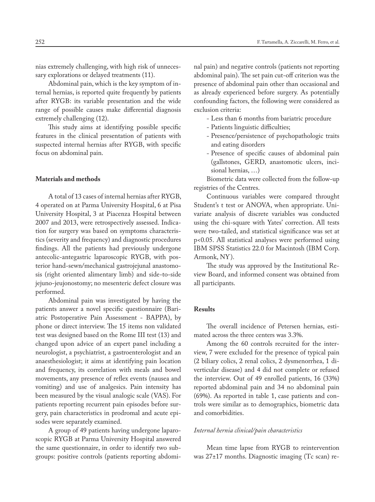nias extremely challenging, with high risk of unnecessary explorations or delayed treatments (11).

Abdominal pain, which is the key symptom of internal hernias, is reported quite frequently by patients after RYGB: its variable presentation and the wide range of possible causes make differential diagnosis extremely challenging (12).

This study aims at identifying possible specific features in the clinical presentation of patients with suspected internal hernias after RYGB, with specific focus on abdominal pain.

#### **Materials and methods**

A total of 13 cases of internal hernias after RYGB, 4 operated on at Parma University Hospital, 6 at Pisa University Hospital, 3 at Piacenza Hospital between 2007 and 2013, were retrospectively assessed. Indication for surgery was based on symptoms characteristics (severity and frequency) and diagnostic procedures findings. All the patients had previously undergone antecolic-antegastric laparoscopic RYGB, with posterior hand-sewn/mechanical gastrojejunal anastomosis (right oriented alimentary limb) and side-to-side jejuno-jeujonostomy; no mesenteric defect closure was performed.

Abdominal pain was investigated by having the patients answer a novel specific questionnaire (Bariatric Postoperative Pain Assessment - BAPPA), by phone or direct interview. The 15 items non validated test was designed based on the Rome III test (13) and changed upon advice of an expert panel including a neurologist, a psychiatrist, a gastroenterologist and an anaesthesiologist; it aims at identifying pain location and frequency, its correlation with meals and bowel movements, any presence of reflex events (nausea and vomiting) and use of analgesics. Pain intensity has been measured by the visual analogic scale (VAS). For patients reporting recurrent pain episodes before surgery, pain characteristics in prodromal and acute episodes were separately examined.

A group of 49 patients having undergone laparoscopic RYGB at Parma University Hospital answered the same questionnaire, in order to identify two subgroups: positive controls (patients reporting abdominal pain) and negative controls (patients not reporting abdominal pain). The set pain cut-off criterion was the presence of abdominal pain other than occasional and as already experienced before surgery. As potentially confounding factors, the following were considered as exclusion criteria:

- Less than 6 months from bariatric procedure
- Patients linguistic difficulties;
- Presence/persistence of psychopathologic traits and eating disorders
- Presence of specific causes of abdominal pain (gallstones, GERD, anastomotic ulcers, incisional hernias, …)

Biometric data were collected from the follow-up registries of the Centres.

Continuous variables were compared throught Student's t test or ANOVA, when appropriate. Univariate analysis of discrete variables was conducted using the chi-square with Yates' correction. All tests were two-tailed, and statistical significance was set at p<0.05. All statistical analyses were performed using IBM SPSS Statistics 22.0 for Macintosh (IBM Corp. Armonk, NY).

The study was approved by the Institutional Review Board, and informed consent was obtained from all participants.

# **Results**

The overall incidence of Petersen hernias, estimated across the three centers was 3.3%.

Among the 60 controls recruited for the interview, 7 were excluded for the presence of typical pain (2 biliary colics, 2 renal colics, 2 dysmenorrhea, 1 diverticular disease) and 4 did not complete or refused the interview. Out of 49 enrolled patients, 16 (33%) reported abdominal pain and 34 no abdominal pain (69%). As reported in table 1, case patients and controls were similar as to demographics, biometric data and comorbidities.

#### *Internal hernia clinical/pain characteristics*

Mean time lapse from RYGB to reintervention was 27±17 months. Diagnostic imaging (Tc scan) re-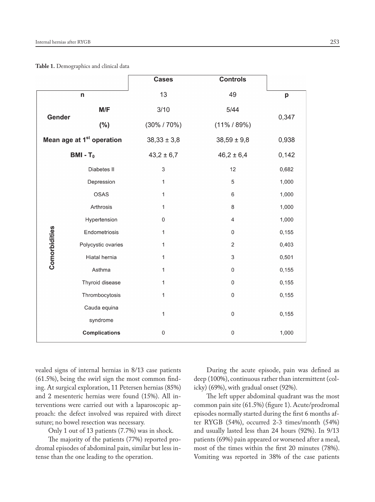**Table 1.** Demographics and clinical data

|                                       |                      | <b>Cases</b>     | <b>Controls</b>          |       |  |
|---------------------------------------|----------------------|------------------|--------------------------|-------|--|
| n                                     |                      | 13               | 49                       | p     |  |
| Gender                                | M/F                  | 3/10             | 5/44                     | 0,347 |  |
|                                       | $(\% )$              | $(30\% / 70\%)$  | $(11\% / 89\%)$          |       |  |
| Mean age at 1 <sup>st</sup> operation |                      | $38,33 \pm 3,8$  | $38,59 \pm 9,8$          | 0,938 |  |
| $BMI - T0$                            |                      | $43,2 \pm 6,7$   | $46,2 \pm 6,4$           | 0,142 |  |
|                                       | Diabetes II          | 3                | 12                       | 0,682 |  |
|                                       | Depression           | 1                | 5                        | 1,000 |  |
|                                       | OSAS                 | 1                | 6                        | 1,000 |  |
|                                       | Arthrosis            | 1                | 8                        | 1,000 |  |
|                                       | Hypertension         | 0                | $\overline{\mathcal{A}}$ | 1,000 |  |
| Comorbidities                         | Endometriosis        | 1                | $\pmb{0}$                | 0,155 |  |
|                                       | Polycystic ovaries   | 1                | $\sqrt{2}$               | 0,403 |  |
|                                       | Hiatal hernia        | 1                | $\mathsf 3$              | 0,501 |  |
|                                       | Asthma               | 1                | $\mathbf 0$              | 0,155 |  |
|                                       | Thyroid disease      | 1                | $\,0\,$                  | 0,155 |  |
|                                       | Thrombocytosis       | 1                | $\boldsymbol{0}$         | 0,155 |  |
|                                       | Cauda equina         | 1<br>$\mathbf 0$ |                          | 0,155 |  |
|                                       | syndrome             |                  |                          |       |  |
|                                       | <b>Complications</b> | $\,0\,$          | $\pmb{0}$                | 1,000 |  |

vealed signs of internal hernias in 8/13 case patients (61.5%), being the swirl sign the most common finding. At surgical exploration, 11 Petersen hernias (85%) and 2 mesenteric hernias were found (15%). All interventions were carried out with a laparoscopic approach: the defect involved was repaired with direct suture; no bowel resection was necessary.

Only 1 out of 13 patients (7.7%) was in shock.

The majority of the patients (77%) reported prodromal episodes of abdominal pain, similar but less intense than the one leading to the operation.

During the acute episode, pain was defined as deep (100%), continuous rather than intermittent (colicky) (69%), with gradual onset (92%).

The left upper abdominal quadrant was the most common pain site (61.5%) (figure 1). Acute/prodromal episodes normally started during the first 6 months after RYGB (54%), occurred 2-3 times/month (54%) and usually lasted less than 24 hours (92%). In 9/13 patients (69%) pain appeared or worsened after a meal, most of the times within the first 20 minutes (78%). Vomiting was reported in 38% of the case patients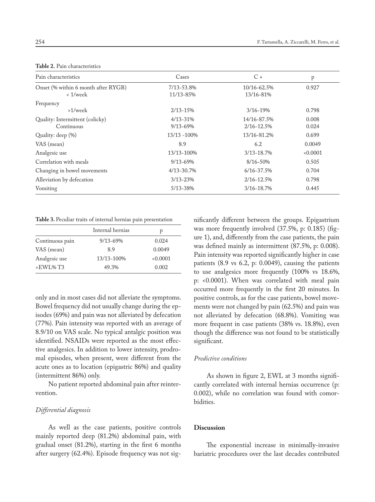| <b>Table 2.</b> Pain characteristics |  |
|--------------------------------------|--|
|--------------------------------------|--|

| Pain characteristics                | Cases          | $C +$          | p      |
|-------------------------------------|----------------|----------------|--------|
| Onset (% within 6 month after RYGB) | 7/13-53.8%     | 10/16-62.5%    | 0.927  |
| $< 1$ /week                         | 11/13-85%      | 13/16-81%      |        |
| Frequency                           |                |                |        |
| $>1$ /week                          | $2/13 - 15%$   | $3/16 - 19%$   | 0.798  |
| Quality: Intermittent (colicky)     | $4/13 - 31%$   | 14/16-87.5%    | 0.008  |
| Continuous                          | $9/13 - 69%$   | $2/16 - 12.5%$ | 0.024  |
| Quality: deep (%)                   | 13/13 -100%    | 13/16-81.2%    | 0.699  |
| VAS (mean)                          | 8.9            | 6.2            | 0.0049 |
| Analgesic use                       | 13/13-100%     | $3/13 - 18.7%$ | 0.0001 |
| Correlation with meals              | $9/13 - 69%$   | $8/16 - 50%$   | 0.505  |
| Changing in bowel movements         | $4/13 - 30.7%$ | $6/16 - 37.5%$ | 0.704  |
| Alleviation by defecation           | $3/13 - 23%$   | $2/16 - 12.5%$ | 0.798  |
| Vomiting                            | 5/13-38%       | $3/16 - 18.7%$ | 0.445  |

#### **Table 3.** Peculiar traits of internal hernias pain presentation

|                         | Internal hernias | р      |
|-------------------------|------------------|--------|
| Continuous pain         | $9/13 - 69%$     | 0.024  |
| VAS (mean)              | 8.9              | 0.0049 |
| Analgesic use           | 13/13-100%       | 0.0001 |
| $>EWL\%$ T <sub>3</sub> | 49.3%            | 0.002  |

only and in most cases did not alleviate the symptoms. Bowel frequency did not usually change during the episodes (69%) and pain was not alleviated by defecation (77%). Pain intensity was reported with an average of 8.9/10 on VAS scale. No typical antalgic position was identified. NSAIDs were reported as the most effective analgesics. In addition to lower intensity, prodromal episodes, when present, were different from the acute ones as to location (epigastric 86%) and quality (intermittent 86%) only.

No patient reported abdominal pain after reintervention.

### *Differential diagnosis*

As well as the case patients, positive controls mainly reported deep (81.2%) abdominal pain, with gradual onset (81.2%), starting in the first 6 months after surgery (62.4%). Episode frequency was not significantly different between the groups. Epigastrium was more frequently involved (37.5%, p: 0.185) (figure 1), and, differently from the case patients, the pain was defined mainly as intermittent (87.5%, p: 0.008). Pain intensity was reported significantly higher in case patients (8.9 vs 6.2, p: 0.0049), causing the patients to use analgesics more frequently (100% vs 18.6%, p: <0.0001). When was correlated with meal pain occurred more frequently in the first 20 minutes. In positive controls, as for the case patients, bowel movements were not changed by pain (62.5%) and pain was not alleviated by defecation (68.8%). Vomiting was more frequent in case patients (38% vs. 18.8%), even though the difference was not found to be statistically significant.

# *Predictive conditions*

As shown in figure 2, EWL at 3 months significantly correlated with internal hernias occurrence (p: 0.002), while no correlation was found with comorbidities.

## **Discussion**

The exponential increase in minimally-invasive bariatric procedures over the last decades contributed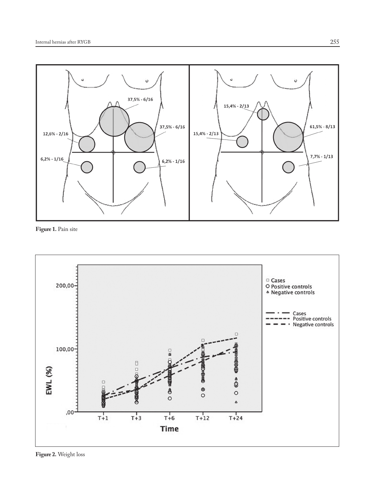

**Figure 1.** Pain site



**Figure 2.** Weight loss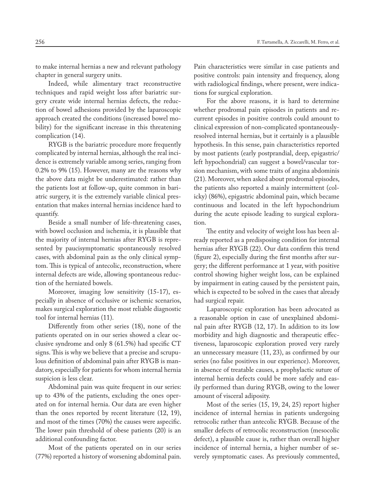to make internal hernias a new and relevant pathology chapter in general surgery units.

Indeed, while alimentary tract reconstructive techniques and rapid weight loss after bariatric surgery create wide internal hernias defects, the reduction of bowel adhesions provided by the laparoscopic approach created the conditions (increased bowel mobility) for the significant increase in this threatening complication (14).

RYGB is the bariatric procedure more frequently complicated by internal hernias, although the real incidence is extremely variable among series, ranging from 0.2% to 9% (15). However, many are the reasons why the above data might be underestimated: rather than the patients lost at follow-up, quite common in bariatric surgery, it is the extremely variable clinical presentation that makes internal hernias incidence hard to quantify.

Beside a small number of life-threatening cases, with bowel occlusion and ischemia, it is plausible that the majority of internal hernias after RYGB is represented by paucisymptomatic spontaneously resolved cases, with abdominal pain as the only clinical symptom. This is typical of antecolic, reconstruction, where internal defects are wide, allowing spontaneous reduction of the herniated bowels.

Moreover, imaging low sensitivity (15-17), especially in absence of occlusive or ischemic scenarios, makes surgical exploration the most reliable diagnostic tool for internal hernias (11).

Differently from other series (18), none of the patients operated on in our series showed a clear occlusive syndrome and only 8 (61.5%) had specific CT signs. This is why we believe that a precise and scrupulous definition of abdominal pain after RYGB is mandatory, especially for patients for whom internal hernia suspicion is less clear.

Abdominal pain was quite frequent in our series: up to 43% of the patients, excluding the ones operated on for internal hernia. Our data are even higher than the ones reported by recent literature (12, 19), and most of the times (70%) the causes were aspecific. The lower pain threshold of obese patients (20) is an additional confounding factor.

Most of the patients operated on in our series (77%) reported a history of worsening abdominal pain. Pain characteristics were similar in case patients and positive controls: pain intensity and frequency, along with radiological findings, where present, were indications for surgical exploration.

For the above reasons, it is hard to determine whether prodromal pain episodes in patients and recurrent episodes in positive controls could amount to clinical expression of non-complicated spontaneouslyresolved internal hernias, but it certainly is a plausible hypothesis. In this sense, pain characteristics reported by most patients (early postprandial, deep, epigastric/ left hypochondrial) can suggest a bowel/vascular torsion mechanism, with some traits of angina abdominis (21). Moreover, when asked about prodromal episodes, the patients also reported a mainly intermittent (colicky) (86%), epigastric abdominal pain, which became continuous and located in the left hypochondrium during the acute episode leading to surgical exploration.

The entity and velocity of weight loss has been already reported as a predisposing condition for internal hernias after RYGB (22). Our data confirm this trend (figure 2), especially during the first months after surgery; the different performance at 1 year, with positive control showing higher weight loss, can be explained by impairment in eating caused by the persistent pain, which is expected to be solved in the cases that already had surgical repair.

Laparoscopic exploration has been advocated as a reasonable option in case of unexplained abdominal pain after RYGB (12, 17). In addition to its low morbidity and high diagnostic and therapeutic effectiveness, laparoscopic exploration proved very rarely an unnecessary measure (11, 23), as confirmed by our series (no false positives in our experience). Moreover, in absence of treatable causes, a prophylactic suture of internal hernia defects could be more safely and easily performed than during RYGB, owing to the lower amount of visceral adiposity.

Most of the series (15, 19, 24, 25) report higher incidence of internal hernias in patients undergoing retrocolic rather than antecolic RYGB. Because of the smaller defects of retrocolic reconstruction (mesocolic defect), a plausible cause is, rather than overall higher incidence of internal hernia, a higher number of severely symptomatic cases. As previously commented,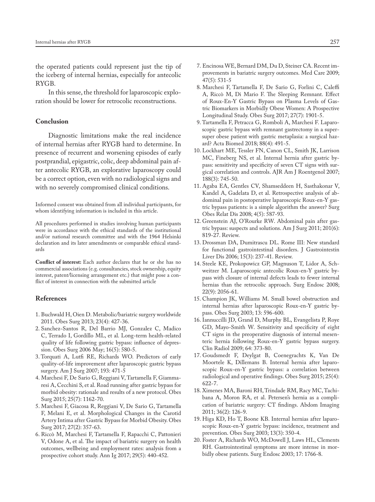the operated patients could represent just the tip of the iceberg of internal hernias, especially for antecolic RYGB.

In this sense, the threshold for laparoscopic exploration should be lower for retrocolic reconstructions.

#### **Conclusion**

Diagnostic limitations make the real incidence of internal hernias after RYGB hard to determine. In presence of recurrent and worsening episodes of early postprandial, epigastric, colic, deep abdominal pain after antecolic RYGB, an explorative laparoscopy could be a correct option, even with no radiological signs and with no severely compromised clinical conditions.

Informed consent was obtained from all individual participants, for whom identifying information is included in this article.

All procedures performed in studies involving human participants were in accordance with the ethical standards of the institutional and/or national research committee and with the 1964 Helsinki declaration and its later amendments or comparable ethical standards

**Conflict of interest:** Each author declares that he or she has no commercial associations (e.g. consultancies, stock ownership, equity interest, patent/licensing arrangement etc.) that might pose a conflict of interest in connection with the submitted article

#### **References**

- 1. Buchwald H, Oien D. Metabolic/bariatric surgery worldwide 2011. Obes Surg 2013; 23(4): 427-36.
- 2. Sanchez-Santos R, Del Barrio MJ, Gonzalez C, Madico C, Terrado I, Gordillo ML, et al. Long-term health-related quality of life following gastric bypass: influence of depression. Obes Surg 2006 May; 16(5): 580-5.
- 3. Torquati A, Lutfi RE, Richards WO. Predictors of early quality-of-life improvement after laparoscopic gastric bypass surgery. Am J Surg 2007; 193: 471-5
- 4. Marchesi F, De Sario G, Reggiani V, Tartamella F, Giammaresi A, Cecchini S, et al. Road running after gastric bypass for morbid obesity: rationale and results of a new protocol. Obes Surg 2015; 25(7): 1162-70.
- 5. Marchesi F, Giacosa R, Reggiani V, De Sario G, Tartamella F, Melani E, et al. Morphological Changes in the Carotid Artery Intima after Gastric Bypass for Morbid Obesity. Obes Surg 2017; 27(2): 357-63.
- 6. Riccò M, Marchesi F, Tartamella F, Rapacchi C, Pattonieri V, Odone A, et al. The impact of bariatric surgery on health outcomes, wellbeing and employment rates: analysis from a prospective cohort study. Ann Ig 2017; 29(5): 440-452.
- 7. Encinosa WE, Bernard DM, Du D, Steiner CA. Recent improvements in bariatric surgery outcomes. Med Care 2009; 47(5): 531-5
- 8. Marchesi F, Tartamella F, De Sario G, Forlini C, Caleffi A, Riccò M, Di Mario F. The Sleeping Remnant. Effect of Roux-En-Y Gastric Bypass on Plasma Levels of Gastric Biomarkers in Morbidly Obese Women: A Prospective Longitudinal Study. Obes Surg 2017; 27(7): 1901-5.
- 9. Tartamella F, Petracca G, Romboli A, Marchesi F. Laparoscopic gastric bypass with remnant gastrectomy in a supersuper obese patient with gastric metaplasia: a surgical hazard? Acta Biomed 2018; 88(4): 491-5.
- 10. Lockhart ME, Tessler FN, Canon CL, Smith JK, Larrison MC, Fineberg NS, et al. Internal hernia after gastric bypass: sensitivity and specificity of seven CT signs with surgical correlation and controls. AJR Am J Roentgenol 2007; 188(3): 745-50.
- 11. Agaba EA, Gentles CV, Shamseddeen H, Sasthakonar V, Kandel A, Gadelata D, et al. Retrospective analysis of abdominal pain in postoperative laparoscopic Roux-en-Y gastric bypass patients: is a simple algorithm the answer? Surg Obes Relat Dis 2008; 4(5): 587-93.
- 12. Greenstein AJ, O'Rourke RW. Abdominal pain after gastric bypass: suspects and solutions. Am J Surg 2011; 201(6): 819-27. Review.
- 13. Drossman DA, Dumitrascu DL. Rome III: New standard for functional gastrointestinal disorders. J Gastrointestin Liver Dis 2006; 15(3): 237-41. Review.
- 14. Steele KE, Prokopowicz GP, Magnuson T, Lidor A, Schweitzer M. Laparoscopic antecolic Roux-en-Y gastric bypass with closure of internal defects leads to fewer internal hernias than the retrocolic approach. Surg Endosc 2008; 22(9): 2056-61.
- 15. Champion JK, Williams M. Small bowel obstruction and internal hernias after laparoscopic Roux-en-Y gastric bypass. Obes Surg 2003; 13: 596-600.
- 16. Iannuccilli JD, Grand D, Murphy BL, Evangelista P, Roye GD, Mayo-Smith W. Sensitivity and specificity of eight CT signs in the preoperative diagnosis of internal mesenteric hernia following Roux-en-Y gastric bypass surgery. Clin Radiol 2009; 64: 373-80.
- 17. Goudsmedt F, Deylgat B, Coenegrachts K, Van De Moortele K, Dillemans B. Internal hernia after laparoscopic Roux-en-Y gastric bypass: a correlation between radiological and operative findings. Obes Surg 2015; 25(4): 622-7.
- 18. Ximenes MA, Baroni RH, Trindade RM, Racy MC, Tachibana A, Moron RA, et al. Petersen's hernia as a complication of bariatric surgery: CT findings. Abdom Imaging 2011; 36(2): 126-9.
- 19. Higa KD, Ho T, Boone KB. Internal hernias after laparoscopic Roux-en-Y gastric bypass: incidence, treatment and prevention. Obes Surg 2003; 13(3): 350-4.
- 20. Foster A, Richards WO, McDowell J, Laws HL, Clements RH. Gastrointestinal symptoms are more intense in morbidly obese patients. Surg Endosc 2003; 17: 1766-8.